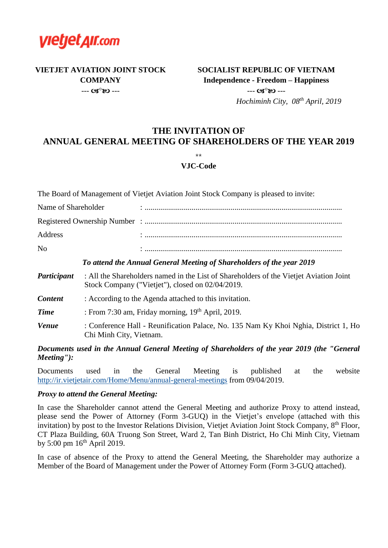

**VIETJET AVIATION JOINT STOCK COMPANY**  $- - 03^{\circ}80 - -$ 

## **SOCIALIST REPUBLIC OF VIETNAM Independence - Freedom – Happiness**  $- - G S^0 80 - -$

 *Hochiminh City, 08th April, 2019*

### **THE INVITATION OF ANNUAL GENERAL MEETING OF SHAREHOLDERS OF THE YEAR 2019**

### \*\*

#### **VJC-Code**

The Board of Management of Vietjet Aviation Joint Stock Company is pleased to invite:

| Name of Shareholder | $\bullet$ |
|---------------------|-----------|
|                     |           |
| Address             |           |
| No                  |           |

#### *To attend the Annual General Meeting of Shareholders of the year 2019*

- *Participant* : All the Shareholders named in the List of Shareholders of the Vietjet Aviation Joint Stock Company ("Vietjet"), closed on 02/04/2019.
- **Content** : According to the Agenda attached to this invitation.
- *Time* : From 7:30 am, Friday morning, 19<sup>th</sup> April, 2019.
- *Venue* : Conference Hall Reunification Palace, No. 135 Nam Ky Khoi Nghia, District 1, Ho Chi Minh City, Vietnam.

*Documents used in the Annual General Meeting of Shareholders of the year 2019 (the "General Meeting"):*

Documents used in the General Meeting is published at the website <http://ir.vietjetair.com/Home/Menu/annual-general-meetings> from 09/04/2019.

#### *Proxy to attend the General Meeting:*

In case the Shareholder cannot attend the General Meeting and authorize Proxy to attend instead, please send the Power of Attorney (Form 3-GUQ) in the Vietjet's envelope (attached with this invitation) by post to the Investor Relations Division, Vietjet Aviation Joint Stock Company, 8<sup>th</sup> Floor, CT Plaza Building, 60A Truong Son Street, Ward 2, Tan Binh District, Ho Chi Minh City, Vietnam by 5:00 pm  $16^{th}$  April 2019.

In case of absence of the Proxy to attend the General Meeting, the Shareholder may authorize a Member of the Board of Management under the Power of Attorney Form (Form 3-GUQ attached).